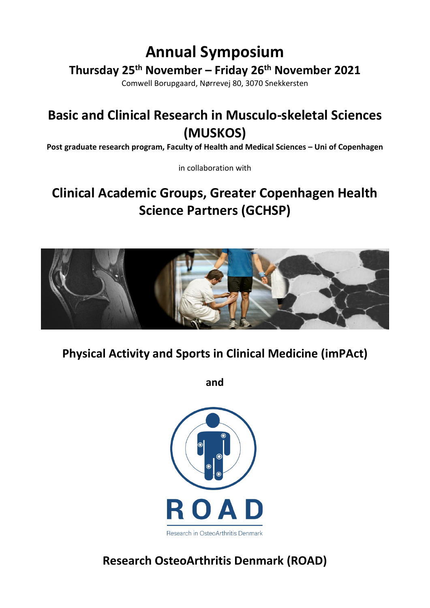# **Annual Symposium**

**Thursday 25 th November – Friday 26 th November 2021**

Comwell Borupgaard, Nørrevej 80, 3070 Snekkersten

# **Basic and Clinical Research in Musculo-skeletal Sciences (MUSKOS)**

**Post graduate research program, Faculty of Health and Medical Sciences – Uni of Copenhagen**

in collaboration with

# **Clinical Academic Groups, Greater Copenhagen Health Science Partners (GCHSP)**



**Physical Activity and Sports in Clinical Medicine (imPAct)**

**and**



**Research OsteoArthritis Denmark (ROAD)**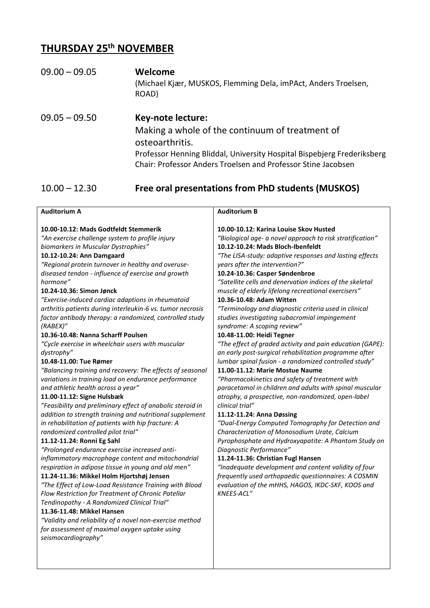### **THURSDAY 25th NOVEMBER**

### 09.00 – 09.05 **Welcome** (Michael Kjær, MUSKOS, Flemming Dela, imPAct, Anders Troelsen, ROAD)

09.05 – 09.50 **Key-note lecture:** Making a whole of the continuum of treatment of osteoarthritis. Professor Henning Bliddal, University Hospital Bispebjerg Frederiksberg Chair: Professor Anders Troelsen and Professor Stine Jacobsen

#### 10.00 – 12.30 **Free oral presentations from PhD students (MUSKOS)**

| <b>Auditorium A</b>                                                                                                                                                                                                                                                                                                                                                                                                                                                                                                                                                                                                                                                                                                                                                                                                                                                                                                                                                                                                                                                                                                                                                                                                                                                                                                                                                                                                                                                                                                                                                                                                                    | <b>Auditorium B</b>                                                                                                                                                                                                                                                                                                                                                                                                                                                                                                                                                                                                                                                                                                                                                                                                                                                                                                                                                                                                                                                                                                                                                                                                                                                                                                                                                                                                                                         |
|----------------------------------------------------------------------------------------------------------------------------------------------------------------------------------------------------------------------------------------------------------------------------------------------------------------------------------------------------------------------------------------------------------------------------------------------------------------------------------------------------------------------------------------------------------------------------------------------------------------------------------------------------------------------------------------------------------------------------------------------------------------------------------------------------------------------------------------------------------------------------------------------------------------------------------------------------------------------------------------------------------------------------------------------------------------------------------------------------------------------------------------------------------------------------------------------------------------------------------------------------------------------------------------------------------------------------------------------------------------------------------------------------------------------------------------------------------------------------------------------------------------------------------------------------------------------------------------------------------------------------------------|-------------------------------------------------------------------------------------------------------------------------------------------------------------------------------------------------------------------------------------------------------------------------------------------------------------------------------------------------------------------------------------------------------------------------------------------------------------------------------------------------------------------------------------------------------------------------------------------------------------------------------------------------------------------------------------------------------------------------------------------------------------------------------------------------------------------------------------------------------------------------------------------------------------------------------------------------------------------------------------------------------------------------------------------------------------------------------------------------------------------------------------------------------------------------------------------------------------------------------------------------------------------------------------------------------------------------------------------------------------------------------------------------------------------------------------------------------------|
| 10.00-10.12: Mads Godtfeldt Stemmerik<br>"An exercise challenge system to profile injury<br>biomarkers in Muscular Dystrophies"<br>10.12-10.24: Ann Damgaard<br>"Regional protein turnover in healthy and overuse-<br>diseased tendon - influence of exercise and growth<br>hormone"<br>10.24-10.36: Simon Jønck<br>"Exercise-induced cardiac adaptions in rheumatoid<br>arthritis patients during interleukin-6 vs. tumor necrosis<br>factor antibody therapy: a randomized, controlled study<br>(RABEX)''<br>10.36-10.48: Nanna Scharff Poulsen<br>"Cycle exercise in wheelchair users with muscular<br>dystrophy"<br>10.48-11.00: Tue Rømer<br>"Balancing training and recovery: The effects of seasonal<br>variations in training load on endurance performance<br>and athletic health across a year"<br>11.00-11.12: Signe Hulsbæk<br>"Feasibility and preliminary effect of anabolic steroid in<br>addition to strength training and nutritional supplement<br>in rehabilitation of patients with hip fracture: A<br>randomized controlled pilot trial"<br>11.12-11.24: Ronni Eg Sahl<br>"Prolonged endurance exercise increased anti-<br>inflammatory macrophage content and mitochondrial<br>respiration in adipose tissue in young and old men"<br>11.24-11.36: Mikkel Holm Hjortshøj Jensen<br>"The Effect of Low-Load Resistance Training with Blood<br>Flow Restriction for Treatment of Chronic Patellar<br>Tendinopathy - A Randomized Clinical Trial"<br>11.36-11.48: Mikkel Hansen<br>"Validity and reliability of a novel non-exercise method<br>for assessment of maximal oxygen uptake using<br>seismocardiography" | 10.00-10.12: Karina Louise Skov Husted<br>"Biological age- a novel approach to risk stratification"<br>10.12-10.24: Mads Bloch-Ibenfeldt<br>"The LISA-study: adaptive responses and lasting effects<br>years after the intervention?"<br>10.24-10.36: Casper Søndenbroe<br>"Satellite cells and denervation indices of the skeletal<br>muscle of elderly lifelong recreational exercisers"<br>10.36-10.48: Adam Witten<br>"Terminology and diagnostic criteria used in clinical<br>studies investigating subacromial impingement<br>syndrome: A scoping review"<br>10.48-11.00: Heidi Tegner<br>"The effect of graded activity and pain education (GAPE):<br>an early post-surgical rehabilitation programme after<br>lumbar spinal fusion - a randomized controlled study"<br>11.00-11.12: Marie Mostue Naume<br>"Pharmacokinetics and safety of treatment with<br>paracetamol in children and adults with spinal muscular<br>atrophy, a prospective, non-randomized, open-label<br>clinical trial"<br>11.12-11.24: Anna Døssing<br>"Dual-Energy Computed Tomography for Detection and<br>Characterization of Monosodium Urate, Calcium<br>Pyrophosphate and Hydroxyapatite: A Phantom Study on<br>Diagnostic Performance"<br>11.24-11.36: Christian Fugl Hansen<br>"Inadequate development and content validity of four<br>frequently used orthopaedic questionnaires: A COSMIN<br>evaluation of the mHHS, HAGOS, IKDC-SKF, KOOS and<br><b>KNEES-ACL"</b> |
|                                                                                                                                                                                                                                                                                                                                                                                                                                                                                                                                                                                                                                                                                                                                                                                                                                                                                                                                                                                                                                                                                                                                                                                                                                                                                                                                                                                                                                                                                                                                                                                                                                        |                                                                                                                                                                                                                                                                                                                                                                                                                                                                                                                                                                                                                                                                                                                                                                                                                                                                                                                                                                                                                                                                                                                                                                                                                                                                                                                                                                                                                                                             |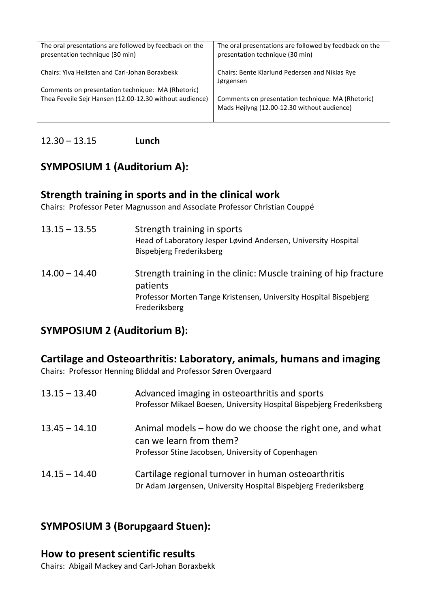| The oral presentations are followed by feedback on the<br>presentation technique (30 min) | The oral presentations are followed by feedback on the<br>presentation technique (30 min)        |
|-------------------------------------------------------------------------------------------|--------------------------------------------------------------------------------------------------|
| Chairs: Ylva Hellsten and Carl-Johan Boraxbekk                                            | Chairs: Bente Klarlund Pedersen and Niklas Rye<br>Jørgensen                                      |
| Comments on presentation technique: MA (Rhetoric)                                         |                                                                                                  |
| Thea Feveile Sejr Hansen (12.00-12.30 without audience)                                   | Comments on presentation technique: MA (Rhetoric)<br>Mads Højlyng (12.00-12.30 without audience) |

#### 12.30 – 13.15 **Lunch**

# **SYMPOSIUM 1 (Auditorium A):**

### **Strength training in sports and in the clinical work**

Chairs: Professor Peter Magnusson and Associate Professor Christian Couppé

| $13.15 - 13.55$ | Strength training in sports<br>Head of Laboratory Jesper Løvind Andersen, University Hospital<br>Bispebjerg Frederiksberg                                          |
|-----------------|--------------------------------------------------------------------------------------------------------------------------------------------------------------------|
| $14.00 - 14.40$ | Strength training in the clinic: Muscle training of hip fracture<br>patients<br>Professor Morten Tange Kristensen, University Hospital Bispebjerg<br>Frederiksberg |

### **SYMPOSIUM 2 (Auditorium B):**

#### **Cartilage and Osteoarthritis: Laboratory, animals, humans and imaging**

Chairs: Professor Henning Bliddal and Professor Søren Overgaard

| $13.15 - 13.40$ | Advanced imaging in osteoarthritis and sports<br>Professor Mikael Boesen, University Hospital Bispebjerg Frederiksberg                    |
|-----------------|-------------------------------------------------------------------------------------------------------------------------------------------|
| $13.45 - 14.10$ | Animal models – how do we choose the right one, and what<br>can we learn from them?<br>Professor Stine Jacobsen, University of Copenhagen |
| $14.15 - 14.40$ | Cartilage regional turnover in human osteoarthritis<br>Dr Adam Jørgensen, University Hospital Bispebjerg Frederiksberg                    |

### **SYMPOSIUM 3 (Borupgaard Stuen):**

#### **How to present scientific results**

Chairs: Abigail Mackey and Carl-Johan Boraxbekk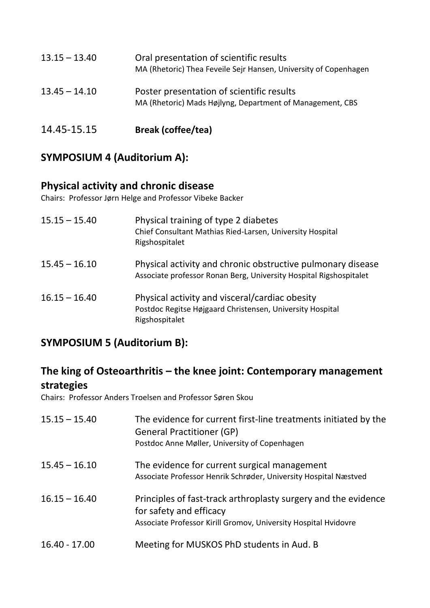| $13.15 - 13.40$ | Oral presentation of scientific results<br>MA (Rhetoric) Thea Feveile Sejr Hansen, University of Copenhagen |
|-----------------|-------------------------------------------------------------------------------------------------------------|
| $13.45 - 14.10$ | Poster presentation of scientific results<br>MA (Rhetoric) Mads Højlyng, Department of Management, CBS      |
| 14.45-15.15     | <b>Break (coffee/tea)</b>                                                                                   |

# **SYMPOSIUM 4 (Auditorium A):**

### **Physical activity and chronic disease**

Chairs: Professor Jørn Helge and Professor Vibeke Backer

| $15.15 - 15.40$ | Physical training of type 2 diabetes<br>Chief Consultant Mathias Ried-Larsen, University Hospital<br>Rigshospitalet               |
|-----------------|-----------------------------------------------------------------------------------------------------------------------------------|
| $15.45 - 16.10$ | Physical activity and chronic obstructive pulmonary disease<br>Associate professor Ronan Berg, University Hospital Rigshospitalet |
| $16.15 - 16.40$ | Physical activity and visceral/cardiac obesity<br>Postdoc Regitse Højgaard Christensen, University Hospital<br>Rigshospitalet     |

## **SYMPOSIUM 5 (Auditorium B):**

# **The king of Osteoarthritis – the knee joint: Contemporary management strategies**

Chairs: Professor Anders Troelsen and Professor Søren Skou

| $15.15 - 15.40$ | The evidence for current first-line treatments initiated by the<br><b>General Practitioner (GP)</b><br>Postdoc Anne Møller, University of Copenhagen         |
|-----------------|--------------------------------------------------------------------------------------------------------------------------------------------------------------|
| $15.45 - 16.10$ | The evidence for current surgical management<br>Associate Professor Henrik Schrøder, University Hospital Næstved                                             |
| $16.15 - 16.40$ | Principles of fast-track arthroplasty surgery and the evidence<br>for safety and efficacy<br>Associate Professor Kirill Gromov, University Hospital Hvidovre |
| $16.40 - 17.00$ | Meeting for MUSKOS PhD students in Aud. B                                                                                                                    |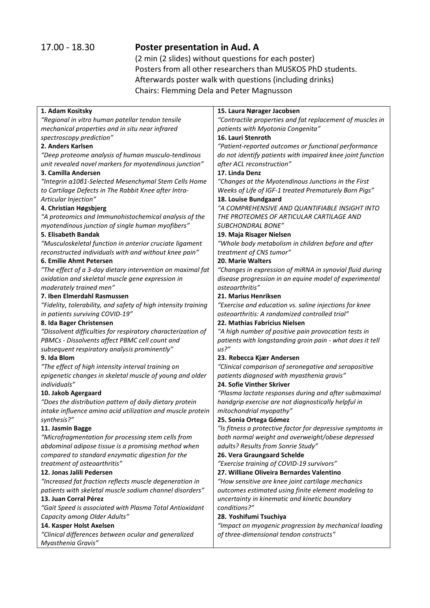## 17.00 - 18.30 **Poster presentation in Aud. A**

(2 min (2 slides) without questions for each poster) Posters from all other researchers than MUSKOS PhD students. Afterwards poster walk with questions (including drinks) Chairs: Flemming Dela and Peter Magnusson

| 1. Adam Kositsky                                               | 15. Laura Nørager Jacobsen                                 |
|----------------------------------------------------------------|------------------------------------------------------------|
| "Regional in vitro human patellar tendon tensile               | "Contractile properties and fat replacement of muscles in  |
| mechanical properties and in situ near infrared                | patients with Myotonia Congenita"                          |
| spectroscopy prediction"                                       | 16. Lauri Stenroth                                         |
| 2. Anders Karlsen                                              | "Patient-reported outcomes or functional performance       |
| "Deep proteome analysis of human musculo-tendinous             | do not identify patients with impaired knee joint function |
| unit revealed novel markers for myotendinous junction"         | after ACL reconstruction"                                  |
| 3. Camilla Andersen                                            | 17. Linda Denz                                             |
| "Integrin α1061-Selected Mesenchymal Stem Cells Home           | "Changes at the Myotendinous Junctions in the First        |
| to Cartilage Defects in The Rabbit Knee after Intra-           | Weeks of Life of IGF-1 treated Prematurely Born Pigs"      |
| Articular Injection"                                           | 18. Louise Bundgaard                                       |
| 4. Christian Høgsbjerg                                         | "A COMPREHENSIVE AND QUANTIFIABLE INSIGHT INTO             |
| "A proteomics and Immunohistochemical analysis of the          | THE PROTEOMES OF ARTICULAR CARTILAGE AND                   |
| myotendinous junction of single human myofibers"               | SUBCHONDRAL BONE"                                          |
| 5. Elisabeth Bandak                                            | 19. Maja Risager Nielsen                                   |
| "Musculoskeletal function in anterior cruciate ligament        | "Whole body metabolism in children before and after        |
| reconstructed individuals with and without knee pain"          | treatment of CNS tumor"                                    |
| 6. Emilie Ahmt Petersen                                        | 20. Marie Walters                                          |
| "The effect of a 3-day dietary intervention on maximal fat     | "Changes in expression of miRNA in synovial fluid during   |
| oxidation and skeletal muscle gene expression in               | disease progression in an equine model of experimental     |
| moderately trained men"                                        | osteoarthritis"                                            |
| 7. Iben Elmerdahl Rasmussen                                    | 21. Marius Henriksen                                       |
| "Fidelity, tolerability, and safety of high intensity training | "Exercise and education vs. saline injections for knee     |
| in patients surviving COVID-19"                                | osteoarthritis: A randomized controlled trial"             |
| 8. Ida Bager Christensen                                       | 22. Mathias Fabricius Nielsen                              |
| "Dissolvent difficulties for respiratory characterization of   | "A high number of positive pain provocation tests in       |
| PBMCs - Dissolvents affect PBMC cell count and                 | patients with longstanding groin pain - what does it tell  |
| subsequent respiratory analysis prominently"                   | us?''                                                      |
| 9. Ida Blom                                                    | 23. Rebecca Kjær Andersen                                  |
| "The effect of high intensity interval training on             | "Clinical comparison of seronegative and seropositive      |
| epigenetic changes in skeletal muscle of young and older       | patients diagnosed with myasthenia gravis"                 |
| individuals"                                                   | 24. Sofie Vinther Skriver                                  |
| 10. Jakob Agergaard                                            | "Plasma lactate responses during and after submaximal      |
| "Does the distribution pattern of daily dietary protein        | handgrip exercise are not diagnostically helpful in        |
| intake influence amino acid utilization and muscle protein     | mitochondrial myopathy"                                    |
| synthesis?"                                                    | 25. Sonia Ortega Gómez                                     |
| 11. Jasmin Bagge                                               | "Is fitness a protective factor for depressive symptoms in |
| "Microfragmentation for processing stem cells from             | both normal weight and overweight/obese depressed          |
| abdominal adipose tissue is a promising method when            | adults? Results from Sonrie Study"                         |
| compared to standard enzymatic digestion for the               | 26. Vera Graungaard Schelde                                |
| treatment of osteoarthritis"                                   | "Exercise training of COVID-19 survivors"                  |
| 12. Jonas Jalili Pedersen                                      | 27. Williane Oliveira Bernardes Valentino                  |
| "Increased fat fraction reflects muscle degeneration in        | "How sensitive are knee joint cartilage mechanics          |
| patients with skeletal muscle sodium channel disorders"        | outcomes estimated using finite element modeling to        |
| 13. Juan Corral Pérez                                          | uncertainty in kinematic and kinetic boundary              |
| "Gait Speed is associated with Plasma Total Antioxidant        | conditions?"                                               |
| Capacity among Older Adults"                                   | 28. Yoshifumi Tsuchiya                                     |
| 14. Kasper Holst Axelsen                                       | "Impact on myogenic progression by mechanical loading      |
| "Clinical differences between ocular and generalized           | of three-dimensional tendon constructs"                    |
| Myasthenia Gravis"                                             |                                                            |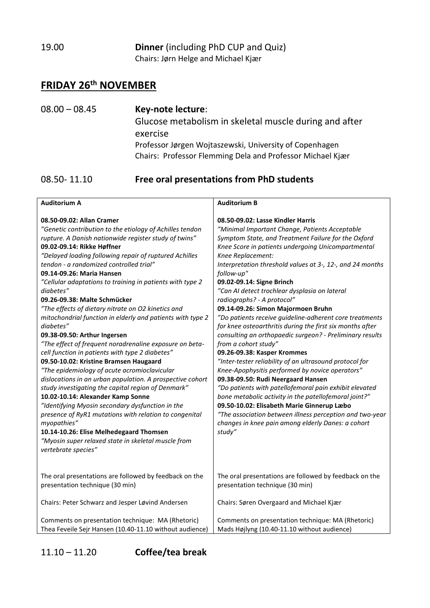19.00 **Dinner** (including PhD CUP and Quiz) Chairs: Jørn Helge and Michael Kjær

### **FRIDAY 26 th NOVEMBER**

08.00 – 08.45 **Key-note lecture**: Glucose metabolism in skeletal muscle during and after exercise Professor Jørgen Wojtaszewski, University of Copenhagen Chairs: Professor Flemming Dela and Professor Michael Kjær

#### 08.50- 11.10 **Free oral presentations from PhD students**

| <b>Auditorium A</b>                                                                                                                                                                                                                                                                                                                                                                                                                                                                                                                                                                                                                                                                                                                                                                                                                                                                                                                                                                                                                                                                                                                                                                                             | <b>Auditorium B</b>                                                                                                                                                                                                                                                                                                                                                                                                                                                                                                                                                                                                                                                                                                                                                                                                                                                                                                                                                                                                                                                                                                                            |
|-----------------------------------------------------------------------------------------------------------------------------------------------------------------------------------------------------------------------------------------------------------------------------------------------------------------------------------------------------------------------------------------------------------------------------------------------------------------------------------------------------------------------------------------------------------------------------------------------------------------------------------------------------------------------------------------------------------------------------------------------------------------------------------------------------------------------------------------------------------------------------------------------------------------------------------------------------------------------------------------------------------------------------------------------------------------------------------------------------------------------------------------------------------------------------------------------------------------|------------------------------------------------------------------------------------------------------------------------------------------------------------------------------------------------------------------------------------------------------------------------------------------------------------------------------------------------------------------------------------------------------------------------------------------------------------------------------------------------------------------------------------------------------------------------------------------------------------------------------------------------------------------------------------------------------------------------------------------------------------------------------------------------------------------------------------------------------------------------------------------------------------------------------------------------------------------------------------------------------------------------------------------------------------------------------------------------------------------------------------------------|
| 08.50-09.02: Allan Cramer<br>"Genetic contribution to the etiology of Achilles tendon<br>rupture. A Danish nationwide register study of twins"<br>09.02-09.14: Rikke Høffner<br>"Delayed loading following repair of ruptured Achilles<br>tendon - a randomized controlled trial"<br>09.14-09.26: Maria Hansen<br>"Cellular adaptations to training in patients with type 2<br>diabetes"<br>09.26-09.38: Malte Schmücker<br>"The effects of dietary nitrate on O2 kinetics and<br>mitochondrial function in elderly and patients with type 2<br>diabetes"<br>09.38-09.50: Arthur Ingersen<br>"The effect of frequent noradrenaline exposure on beta-<br>cell function in patients with type 2 diabetes"<br>09.50-10.02: Kristine Bramsen Haugaard<br>"The epidemiology of acute acromioclavicular<br>dislocations in an urban population. A prospective cohort<br>study investigating the capital region of Denmark"<br>10.02-10.14: Alexander Kamp Sonne<br>"Identifying Myosin secondary dysfunction in the<br>presence of RyR1 mutations with relation to congenital<br>myopathies"<br>10.14-10.26: Elise Melhedegaard Thomsen<br>"Myosin super relaxed state in skeletal muscle from<br>vertebrate species" | 08.50-09.02: Lasse Kindler Harris<br>"Minimal Important Change, Patients Acceptable<br>Symptom State, and Treatment Failure for the Oxford<br>Knee Score in patients undergoing Unicompartmental<br>Knee Replacement:<br>Interpretation threshold values at 3-, 12-, and 24 months<br>follow-up"<br>09.02-09.14: Signe Brinch<br>"Can AI detect trochlear dysplasia on lateral<br>radiographs? - A protocol"<br>09.14-09.26: Simon Majormoen Bruhn<br>"Do patients receive guideline-adherent core treatments<br>for knee osteoarthritis during the first six months after<br>consulting an orthopaedic surgeon? - Preliminary results<br>from a cohort study"<br>09.26-09.38: Kasper Krommes<br>"Inter-tester reliability of an ultrasound protocol for<br>Knee-Apophysitis performed by novice operators"<br>09.38-09.50: Rudi Neergaard Hansen<br>"Do patients with patellofemoral pain exhibit elevated<br>bone metabolic activity in the patellofemoral joint?"<br>09.50-10.02: Elisabeth Marie Ginnerup Læbo<br>"The association between illness perception and two-year<br>changes in knee pain among elderly Danes: a cohort<br>study" |
| The oral presentations are followed by feedback on the<br>presentation technique (30 min)                                                                                                                                                                                                                                                                                                                                                                                                                                                                                                                                                                                                                                                                                                                                                                                                                                                                                                                                                                                                                                                                                                                       | The oral presentations are followed by feedback on the<br>presentation technique (30 min)                                                                                                                                                                                                                                                                                                                                                                                                                                                                                                                                                                                                                                                                                                                                                                                                                                                                                                                                                                                                                                                      |
| Chairs: Peter Schwarz and Jesper Løvind Andersen                                                                                                                                                                                                                                                                                                                                                                                                                                                                                                                                                                                                                                                                                                                                                                                                                                                                                                                                                                                                                                                                                                                                                                | Chairs: Søren Overgaard and Michael Kjær                                                                                                                                                                                                                                                                                                                                                                                                                                                                                                                                                                                                                                                                                                                                                                                                                                                                                                                                                                                                                                                                                                       |
| Comments on presentation technique: MA (Rhetoric)<br>Thea Feveile Sejr Hansen (10.40-11.10 without audience)                                                                                                                                                                                                                                                                                                                                                                                                                                                                                                                                                                                                                                                                                                                                                                                                                                                                                                                                                                                                                                                                                                    | Comments on presentation technique: MA (Rhetoric)<br>Mads Højlyng (10.40-11.10 without audience)                                                                                                                                                                                                                                                                                                                                                                                                                                                                                                                                                                                                                                                                                                                                                                                                                                                                                                                                                                                                                                               |